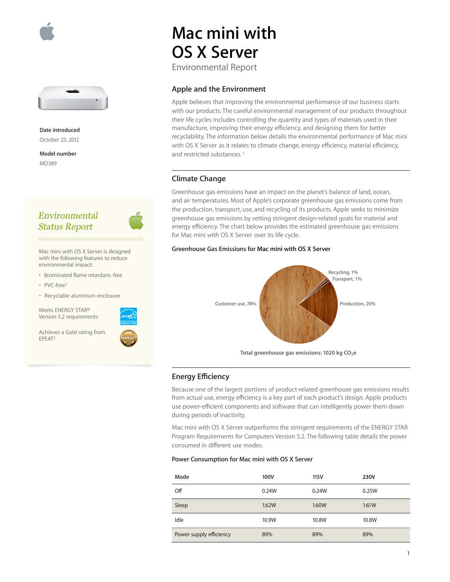



**Date introduced** October 23, 2012

**Model number** MD389

## Environmental **Status Report**



Mac mini with OS X Server is designed with the following features to reduce environmental impact:

- Brominated flame retardant–free
- PVC-free2
- Recyclable aluminum enclosure

Meets ENERGY STAR® Version 5.2 requirements

Achieves a Gold rating from EPEAT3



# **Mac mini with OS X Server**

Environmental Report

#### **Apple and the Environment**

Apple believes that improving the environmental performance of our business starts with our products. The careful environmental management of our products throughout their life cycles includes controlling the quantity and types of materials used in their manufacture, improving their energy efficiency, and designing them for better recyclability. The information below details the environmental performance of Mac mini with OS X Server as it relates to climate change, energy efficiency, material efficiency, and restricted substances.<sup>1</sup>

#### **Climate Change**

Greenhouse gas emissions have an impact on the planet's balance of land, ocean, and air temperatures. Most of Apple's corporate greenhouse gas emissions come from the production, transport, use, and recycling of its products. Apple seeks to minimize greenhouse gas emissions by setting stringent design-related goals for material and energy efficiency. The chart below provides the estimated greenhouse gas emissions for Mac mini with OS X Server over its life cycle.

#### **Greenhouse Gas Emissions for Mac mini with OS X Server**



#### **Energy Efficiency**

Because one of the largest portions of product-related greenhouse gas emissions results from actual use, energy efficiency is a key part of each product's design. Apple products use power-efficient components and software that can intelligently power them down during periods of inactivity.

Mac mini with OS X Server outperforms the stringent requirements of the ENERGY STAR Program Requirements for Computers Version 5.2. The following table details the power consumed in different use modes.

#### **Power Consumption for Mac mini with OS X Server**

| Mode                    | 100V  | 115V  | 230V  |
|-------------------------|-------|-------|-------|
| Off                     | 0.24W | 0.24W | 0.25W |
| Sleep                   | 1.62W | 1.60W | 1.61W |
| Idle                    | 10.9W | 10.8W | 10.8W |
| Power supply efficiency | 89%   | 89%   | 89%   |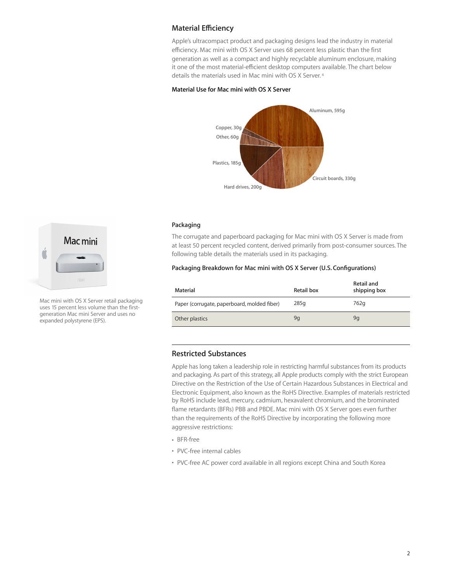### **Material Efficiency**

Apple's ultracompact product and packaging designs lead the industry in material efficiency. Mac mini with OS X Server uses 68 percent less plastic than the first generation as well as a compact and highly recyclable aluminum enclosure, making it one of the most material-efficient desktop computers available. The chart below details the materials used in Mac mini with OS X Server. 4

#### **Material Use for Mac mini with OS X Server**



#### **Packaging**

The corrugate and paperboard packaging for Mac mini with OS X Server is made from at least 50 percent recycled content, derived primarily from post-consumer sources. The following table details the materials used in its packaging.

#### **Packaging Breakdown for Mac mini with OS X Server (U.S. Configurations)**

| Material                                    | Retail box | Retail and<br>shipping box |
|---------------------------------------------|------------|----------------------------|
| Paper (corrugate, paperboard, molded fiber) | 285q       | 762g                       |
| Other plastics                              | 9g         | 9q                         |

## **Restricted Substances**

Apple has long taken a leadership role in restricting harmful substances from its products and packaging. As part of this strategy, all Apple products comply with the strict European Directive on the Restriction of the Use of Certain Hazardous Substances in Electrical and Electronic Equipment, also known as the RoHS Directive. Examples of materials restricted by RoHS include lead, mercury, cadmium, hexavalent chromium, and the brominated flame retardants (BFRs) PBB and PBDE. Mac mini with OS X Server goes even further than the requirements of the RoHS Directive by incorporating the following more aggressive restrictions:

• BFR-free

- PVC-free internal cables
- PVC-free AC power cord available in all regions except China and South Korea



Mac mini with OS X Server retail packaging uses 15 percent less volume than the firstgeneration Mac mini Server and uses no expanded polystyrene (EPS).